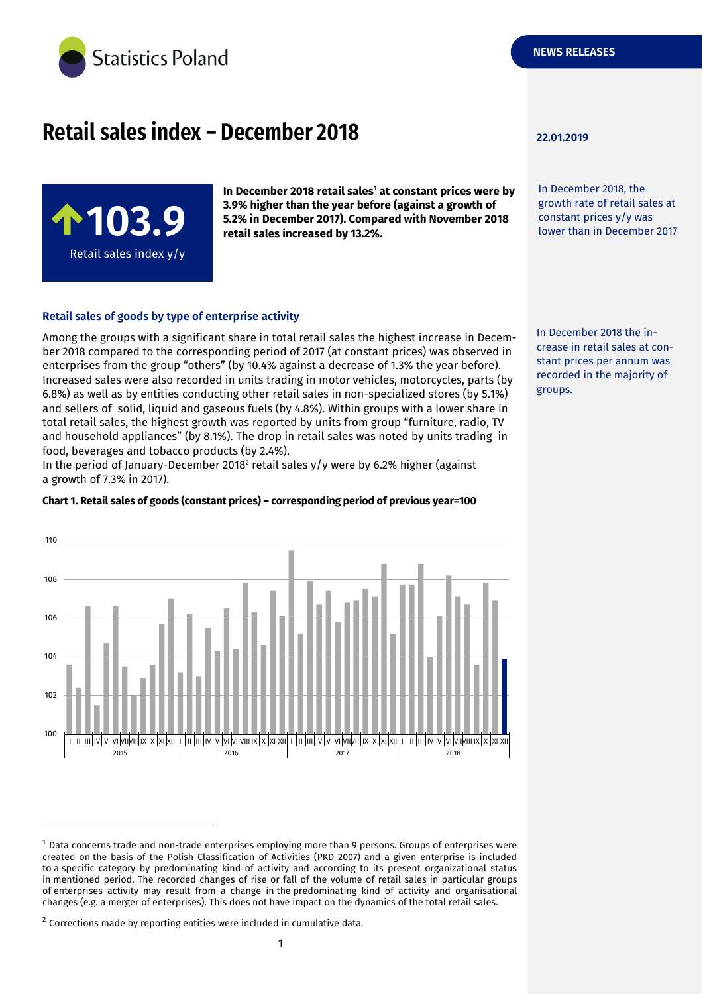

# **Retail sales index – December 2018 22.01.2019**

**103.** Retail sales index y/y **In December 2018 retail sales<sup>1</sup> at constant prices were by 3.9% higher than the year before (against a growth of 5.2% in December 2017). Compared with November 2018 retail sales increased by 13.2%.**

## **Retail sales of goods by type of enterprise activity**

Among the groups with a significant share in total retail sales the highest increase in December 2018 compared to the corresponding period of 2017 (at constant prices) was observed in enterprises from the group "others" (by 10.4% against a decrease of 1.3% the year before). Increased sales were also recorded in units trading in motor vehicles, motorcycles, parts (by 6.8%) as well as by entities conducting other retail sales in non-specialized stores (by 5.1%) and sellers of solid, liquid and gaseous fuels (by 4.8%). Within groups with a lower share in total retail sales, the highest growth was reported by units from group "furniture, radio, TV and household appliances" (by 8.1%). The drop in retail sales was noted by units trading in food, beverages and tobacco products (by 2.4%).

In the period of January-December 2018<sup>2</sup> retail sales y/y were by 6.2% higher (against a growth of 7.3% in 2017).

#### **Chart 1. Retail sales of goods (constant prices) – corresponding period of previous year=100**



-

In December 2018, the growth rate of retail sales at constant prices y/y was lower than in December 2017

In December 2018 the increase in retail sales at constant prices per annum was recorded in the majority of groups.

<sup>1</sup> Data concerns trade and non-trade enterprises employing more than 9 persons. Groups of enterprises were created on the basis of the Polish Classification of Activities (PKD 2007) and a given enterprise is included to a specific category by predominating kind of activity and according to its present organizational status in mentioned period. The recorded changes of rise or fall of the volume of retail sales in particular groups of enterprises activity may result from a change in the predominating kind of activity and organisational changes (e.g. a merger of enterprises). This does not have impact on the dynamics of the total retail sales.

 $2$  Corrections made by reporting entities were included in cumulative data.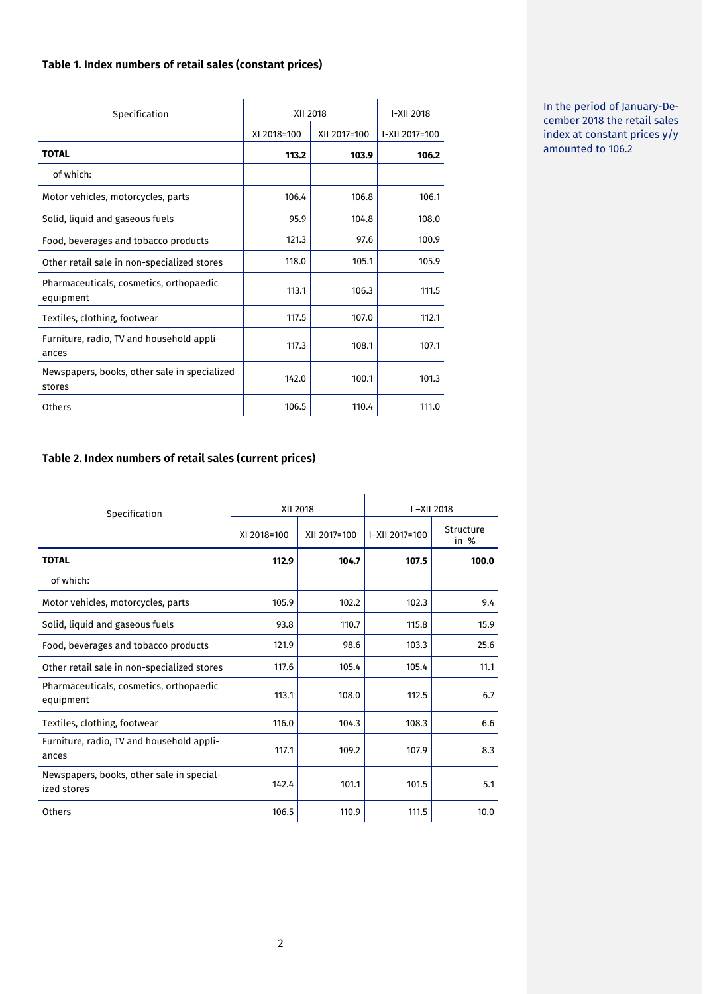## **Table 1. Index numbers of retail sales (constant prices)**

| Specification                                          | XII 2018    | I-XII 2018   |                |
|--------------------------------------------------------|-------------|--------------|----------------|
|                                                        | XI 2018=100 | XII 2017=100 | I-XII 2017=100 |
| <b>TOTAL</b>                                           | 113.2       | 103.9        | 106.2          |
| of which:                                              |             |              |                |
| Motor vehicles, motorcycles, parts                     | 106.4       | 106.8        | 106.1          |
| Solid, liquid and gaseous fuels                        | 95.9        | 104.8        | 108.0          |
| Food, beverages and tobacco products                   | 121.3       | 97.6         | 100.9          |
| Other retail sale in non-specialized stores            | 118.0       | 105.1        | 105.9          |
| Pharmaceuticals, cosmetics, orthopaedic<br>equipment   | 113.1       | 106.3        | 111.5          |
| Textiles, clothing, footwear                           | 117.5       | 107.0        | 112.1          |
| Furniture, radio, TV and household appli-<br>ances     | 117.3       | 108.1        | 107.1          |
| Newspapers, books, other sale in specialized<br>stores | 142.0       | 100.1        | 101.3          |
| Others                                                 | 106.5       | 110.4        | 111.0          |

In the period of January-December 2018 the retail sales index at constant prices y/y amounted to 106.2

# **Table 2. Index numbers of retail sales (current prices)**

| Specification                                            |             | XII 2018     |                | I-XII 2018        |  |
|----------------------------------------------------------|-------------|--------------|----------------|-------------------|--|
|                                                          | XI 2018=100 | XII 2017=100 | I-XII 2017=100 | Structure<br>in % |  |
| <b>TOTAL</b>                                             | 112.9       | 104.7        | 107.5          | 100.0             |  |
| of which:                                                |             |              |                |                   |  |
| Motor vehicles, motorcycles, parts                       | 105.9       | 102.2        | 102.3          | 9.4               |  |
| Solid, liquid and gaseous fuels                          | 93.8        | 110.7        | 115.8          | 15.9              |  |
| Food, beverages and tobacco products                     | 121.9       | 98.6         | 103.3          | 25.6              |  |
| Other retail sale in non-specialized stores              | 117.6       | 105.4        | 105.4          | 11.1              |  |
| Pharmaceuticals, cosmetics, orthopaedic<br>equipment     | 113.1       | 108.0        | 112.5          | 6.7               |  |
| Textiles, clothing, footwear                             | 116.0       | 104.3        | 108.3          | 6.6               |  |
| Furniture, radio, TV and household appli-<br>ances       | 117.1       | 109.2        | 107.9          | 8.3               |  |
| Newspapers, books, other sale in special-<br>ized stores | 142.4       | 101.1        | 101.5          | 5.1               |  |
| Others                                                   | 106.5       | 110.9        | 111.5          | 10.0              |  |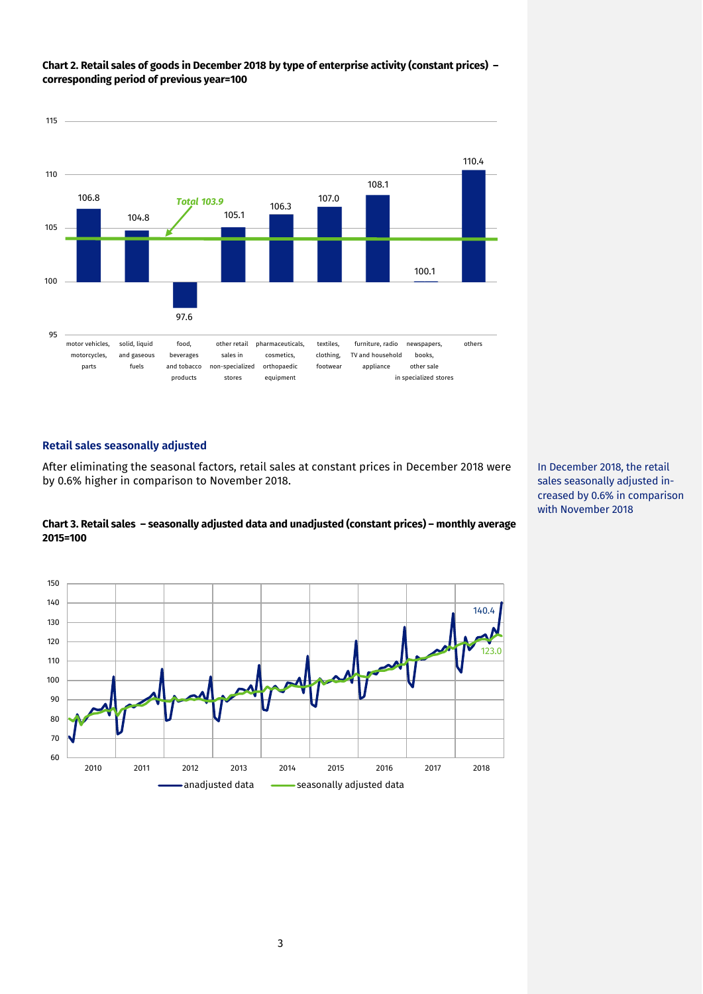

## **Chart 2. Retail sales of goods in December 2018 by type of enterprise activity (constant prices) – corresponding period of previous year=100**

## **Retail sales seasonally adjusted**

After eliminating the seasonal factors, retail sales at constant prices in December 2018 were by 0.6% higher in comparison to November 2018.

## **Chart 3. Retail sales – seasonally adjusted data and unadjusted (constant prices) – monthly average 2015=100**



In December 2018, the retail sales seasonally adjusted increased by 0.6% in comparison with November 2018